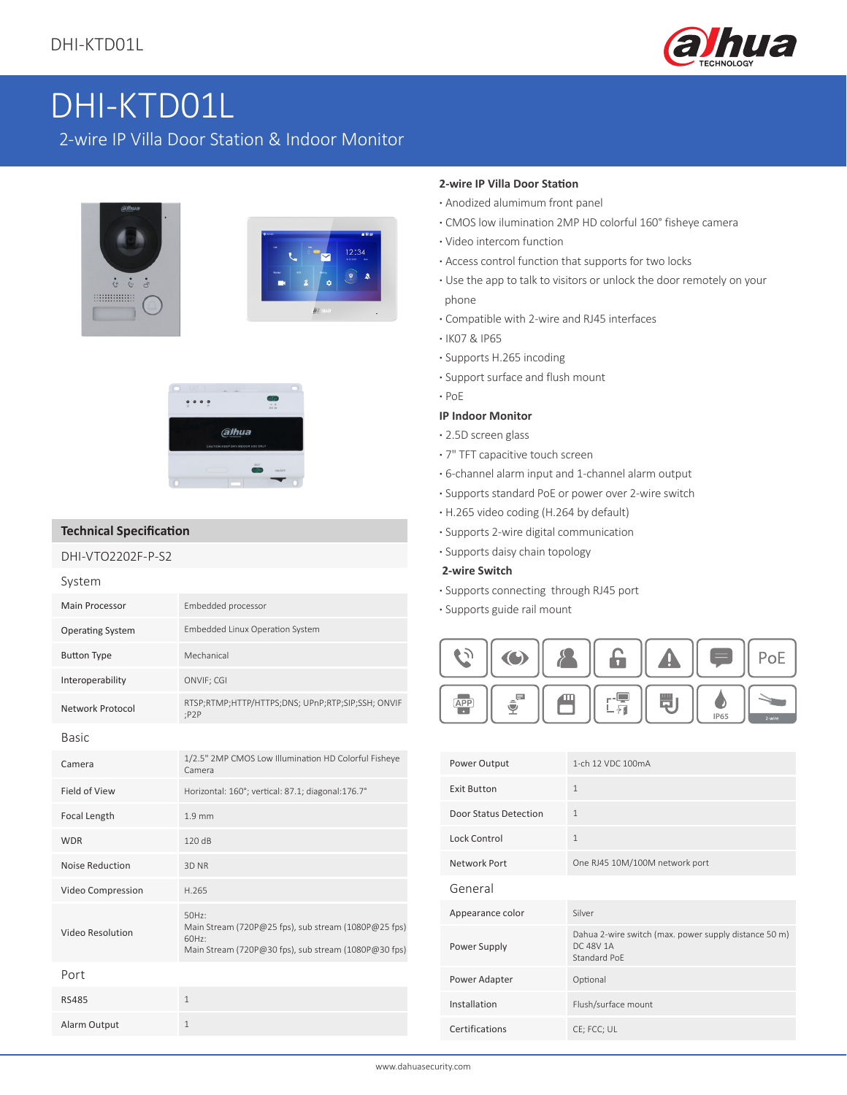

## 2-wire IP Villa Door Station & Indoor Monitor





#### **Technical Specification**

#### DHI-VTO2202F-P-S2

| System                  |                                                                                                                                  |
|-------------------------|----------------------------------------------------------------------------------------------------------------------------------|
| <b>Main Processor</b>   | Embedded processor                                                                                                               |
| <b>Operating System</b> | Embedded Linux Operation System                                                                                                  |
| <b>Button Type</b>      | Mechanical                                                                                                                       |
| Interoperability        | ONVIF; CGI                                                                                                                       |
| Network Protocol        | RTSP;RTMP;HTTP/HTTPS;DNS; UPnP;RTP;SIP;SSH; ONVIF<br>P2P                                                                         |
| <b>Basic</b>            |                                                                                                                                  |
| Camera                  | 1/2.5" 2MP CMOS Low Illumination HD Colorful Fisheye<br>Camera                                                                   |
| <b>Field of View</b>    | Horizontal: 160°; vertical: 87.1; diagonal:176.7°                                                                                |
| <b>Focal Length</b>     | 1.9 <sub>mm</sub>                                                                                                                |
| <b>WDR</b>              | 120 dB                                                                                                                           |
| <b>Noise Reduction</b>  | 3D NR                                                                                                                            |
| Video Compression       | H.265                                                                                                                            |
| Video Resolution        | $50Hz$ :<br>Main Stream (720P@25 fps), sub stream (1080P@25 fps)<br>60Hz<br>Main Stream (720P@30 fps), sub stream (1080P@30 fps) |
| Port                    |                                                                                                                                  |
| <b>RS485</b>            | $\mathbf{1}$                                                                                                                     |
| Alarm Output            | 1                                                                                                                                |

#### **2-wire IP Villa Door Station**

- **·** Anodized alumimum front panel
- **·** CMOS low ilumination 2MP HD colorful 160° fisheye camera
- **·** Video intercom function
- **·** Access control function that supports for two locks
- **·** Use the app to talk to visitors or unlock the door remotely on your phone
- **·** Compatible with 2-wire and RJ45 interfaces
- **·** IK07 & IP65
- **·** Supports H.265 incoding
- **·** Support surface and flush mount
- **·** PoE

#### **IP Indoor Monitor**

- **·** 2.5D screen glass
- **·** 7" TFT capacitive touch screen
- **·** 6-channel alarm input and 1-channel alarm output
- **·** Supports standard PoE or power over 2-wire switch
- **·** H.265 video coding (H.264 by default)
- **·** Supports 2-wire digital communication
- **·** Supports daisy chain topology

#### **2-wire Switch**

- **·** Supports connecting through RJ45 port
- **·** Supports guide rail mount



| Power Output          | 1-ch 12 VDC 100mA                                                                         |
|-----------------------|-------------------------------------------------------------------------------------------|
| <b>Exit Button</b>    | $\mathbf{1}$                                                                              |
| Door Status Detection | $\mathbf{1}$                                                                              |
| Lock Control          | $\mathbf{1}$                                                                              |
| Network Port          | One RJ45 10M/100M network port                                                            |
| General               |                                                                                           |
| Appearance color      | Silver                                                                                    |
| Power Supply          | Dahua 2-wire switch (max. power supply distance 50 m)<br><b>DC 48V 1A</b><br>Standard PoE |
| Power Adapter         | Optional                                                                                  |
| Installation          | Flush/surface mount                                                                       |
| Certifications        | CE; FCC; UL                                                                               |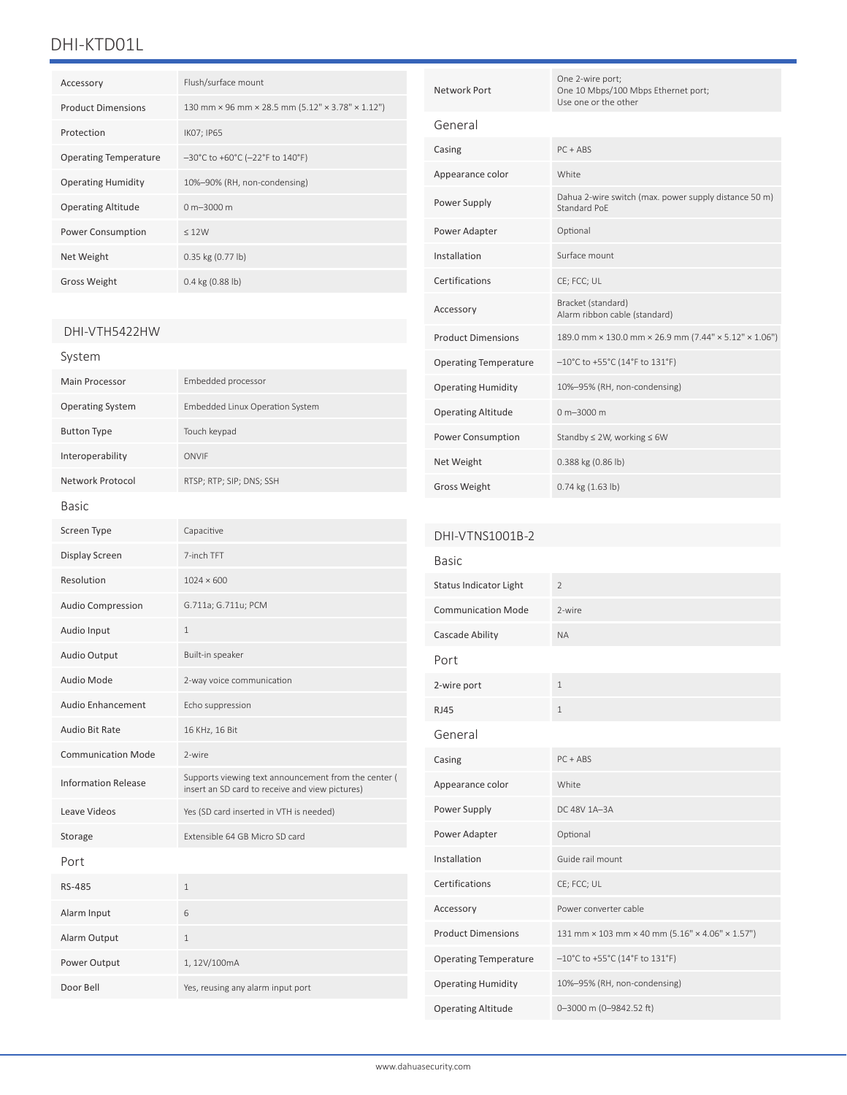| Accessory                    | Flush/surface mount                                                        |
|------------------------------|----------------------------------------------------------------------------|
| <b>Product Dimensions</b>    | 130 mm × 96 mm × 28.5 mm (5.12" × 3.78" × 1.12")                           |
| Protection                   | IK07; IP65                                                                 |
| <b>Operating Temperature</b> | $-30^{\circ}$ C to +60 $^{\circ}$ C (-22 $^{\circ}$ F to 140 $^{\circ}$ F) |
| <b>Operating Humidity</b>    | 10%-90% (RH, non-condensing)                                               |
| <b>Operating Altitude</b>    | $0 m - 3000 m$                                                             |
| <b>Power Consumption</b>     | < 12W                                                                      |
| Net Weight                   | $0.35$ kg $(0.77$ lb)                                                      |
| <b>Gross Weight</b>          | $0.4$ kg $(0.88$ lb)                                                       |

#### DHI-VTH5422HW

| System                     |                                                                                                         |
|----------------------------|---------------------------------------------------------------------------------------------------------|
| <b>Main Processor</b>      | Embedded processor                                                                                      |
| <b>Operating System</b>    | Embedded Linux Operation System                                                                         |
| <b>Button Type</b>         | Touch keypad                                                                                            |
| Interoperability           | ONVIF                                                                                                   |
| Network Protocol           | RTSP; RTP; SIP; DNS; SSH                                                                                |
| Basic                      |                                                                                                         |
| Screen Type                | Capacitive                                                                                              |
| Display Screen             | 7-inch TFT                                                                                              |
| Resolution                 | $1024 \times 600$                                                                                       |
| <b>Audio Compression</b>   | G.711a; G.711u; PCM                                                                                     |
| Audio Input                | $\mathbf{1}$                                                                                            |
| Audio Output               | Built-in speaker                                                                                        |
| Audio Mode                 | 2-way voice communication                                                                               |
| Audio Enhancement          | Echo suppression                                                                                        |
| Audio Bit Rate             | 16 KHz, 16 Bit                                                                                          |
| <b>Communication Mode</b>  | 2-wire                                                                                                  |
| <b>Information Release</b> | Supports viewing text announcement from the center (<br>insert an SD card to receive and view pictures) |
| Leave Videos               | Yes (SD card inserted in VTH is needed)                                                                 |
| Storage                    | Extensible 64 GB Micro SD card                                                                          |
| Port                       |                                                                                                         |
| RS-485                     | $\mathbf{1}$                                                                                            |
| Alarm Input                | 6                                                                                                       |
| Alarm Output               | $\mathbf 1$                                                                                             |
| Power Output               | 1, 12V/100mA                                                                                            |
| Door Bell                  | Yes, reusing any alarm input port                                                                       |

| Network Port                 | One 2-wire port;<br>One 10 Mbps/100 Mbps Ethernet port;<br>Use one or the other |
|------------------------------|---------------------------------------------------------------------------------|
| General                      |                                                                                 |
| Casing                       | $PC + ABS$                                                                      |
| Appearance color             | White                                                                           |
| Power Supply                 | Dahua 2-wire switch (max. power supply distance 50 m)<br>Standard PoF           |
| Power Adapter                | Optional                                                                        |
| Installation                 | Surface mount                                                                   |
| Certifications               | CE; FCC; UL                                                                     |
| Accessory                    | Bracket (standard)<br>Alarm ribbon cable (standard)                             |
| <b>Product Dimensions</b>    | 189.0 mm × 130.0 mm × 26.9 mm (7.44" × 5.12" × 1.06")                           |
| <b>Operating Temperature</b> | $-10^{\circ}$ C to +55°C (14°F to 131°F)                                        |
| <b>Operating Humidity</b>    | 10%-95% (RH, non-condensing)                                                    |
| <b>Operating Altitude</b>    | $0 m - 3000 m$                                                                  |
| <b>Power Consumption</b>     | Standby $\leq$ 2W, working $\leq$ 6W                                            |
| Net Weight                   | 0.388 kg (0.86 lb)                                                              |
| <b>Gross Weight</b>          | $0.74$ kg $(1.63$ lb)                                                           |

| DHI-VTNS1001B-2              |                                                                           |
|------------------------------|---------------------------------------------------------------------------|
| <b>Basic</b>                 |                                                                           |
| Status Indicator Light       | $\overline{2}$                                                            |
| <b>Communication Mode</b>    | 2-wire                                                                    |
| Cascade Ability              | <b>NA</b>                                                                 |
| Port                         |                                                                           |
| 2-wire port                  | $\mathbf{1}$                                                              |
| RJ45                         | 1                                                                         |
| General                      |                                                                           |
| Casing                       | $PC + ABS$                                                                |
| Appearance color             | White                                                                     |
| Power Supply                 | DC 48V 1A-3A                                                              |
| Power Adapter                | Optional                                                                  |
| Installation                 | Guide rail mount                                                          |
| Certifications               | CE; FCC; UL                                                               |
| Accessory                    | Power converter cable                                                     |
| <b>Product Dimensions</b>    | 131 mm × 103 mm × 40 mm (5.16" × 4.06" × 1.57")                           |
| <b>Operating Temperature</b> | $-10^{\circ}$ C to +55 $^{\circ}$ C (14 $^{\circ}$ F to 131 $^{\circ}$ F) |
| <b>Operating Humidity</b>    | 10%-95% (RH, non-condensing)                                              |
| <b>Operating Altitude</b>    | 0-3000 m (0-9842.52 ft)                                                   |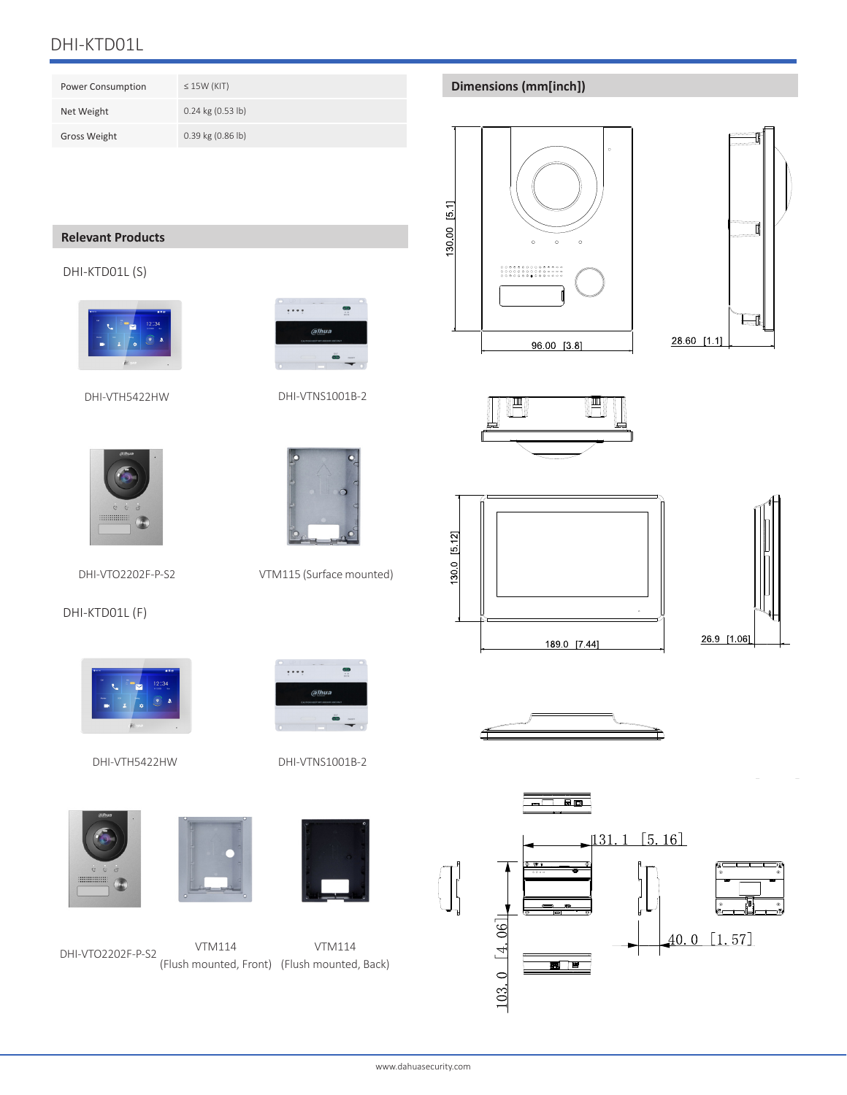| <b>Power Consumption</b> | $\leq$ 15W (KIT)      |
|--------------------------|-----------------------|
| Net Weight               | $0.24$ kg $(0.53$ lb) |
| <b>Gross Weight</b>      | $0.39$ kg $(0.86$ lb) |

## **Relevant Products**

#### DHI-KTD01L (S)



DHI-VTH5422HW



alhua)

....

 $\bullet$ 

DHI-VTNS1001B-2

alhua

....

DHI-VTO2202F-P-S2 VTM115 (Surface mounted)

#### DHI-KTD01L (F)



DHI-VTH5422HW







#### Dimensions (mm[inch])